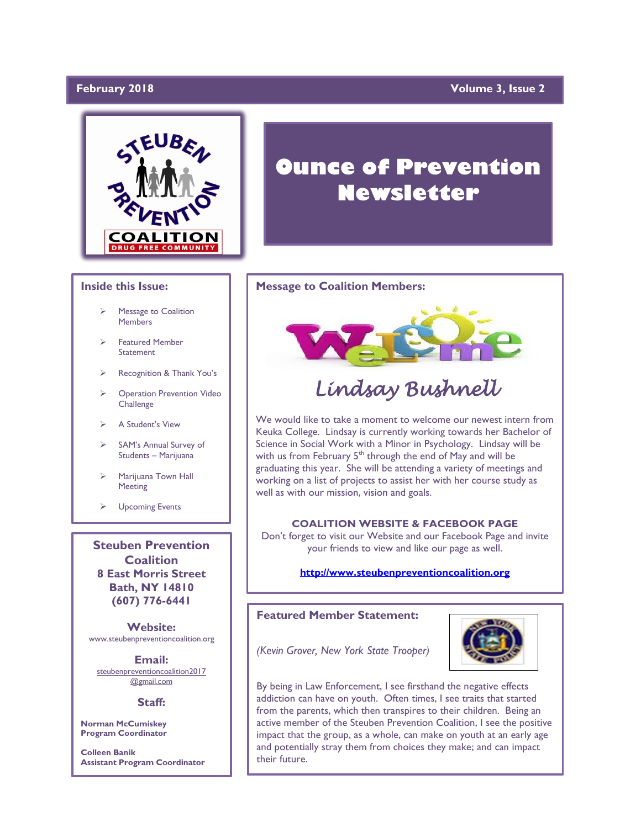# February 2018

# **Yolume 3, Issue 2**



# **Inside this Issue:**

- Message to Coalition **Members**
- ➢ Featured Member **Statement**
- ➢ Recognition & Thank You's
- ➢ Operation Prevention Video **Challenge**
- ➢ A Student's View
- SAM's Annual Survey of Students – Marijuana
- Marijuana Town Hall Meeting
- ➢ Upcoming Events

**Steuben Prevention Coalition 8 East Morris Street Bath, NY 14810 (607) 776-6441**

**Website:**  www.steubenpreventioncoalition.org

**Email:**  steubenpreventioncoalition2017 @gmail.com

### **Staff:**

**Norman McCumiskey Program Coordinator**

**Colleen Banik Assistant Program Coordinator**

# **Ounce of Prevention Newsletter**

### **Message to Coalition Members:**



# *Lindsay Bushnell*

We would like to take a moment to welcome our newest intern from Keuka College. Lindsay is currently working towards her Bachelor of Science in Social Work with a Minor in Psychology. Lindsay will be with us from February  $5<sup>th</sup>$  through the end of May and will be graduating this year. She will be attending a variety of meetings and working on a list of projects to assist her with her course study as well as with our mission, vision and goals.

# **COALITION WEBSITE & FACEBOOK PAGE**

Don't forget to visit our Website and our Facebook Page and invite your friends to view and like our page as well.

# **[http://www.steubenpreventioncoalition.org](http://www.steubenpreventioncoalition.org/)**

# **Featured Member Statement:**



*(Kevin Grover, New York State Trooper)*

By being in Law Enforcement, I see firsthand the negative effects addiction can have on youth. Often times, I see traits that started from the parents, which then transpires to their children. Being an active member of the Steuben Prevention Coalition, I see the positive impact that the group, as a whole, can make on youth at an early age and potentially stray them from choices they make; and can impact their future.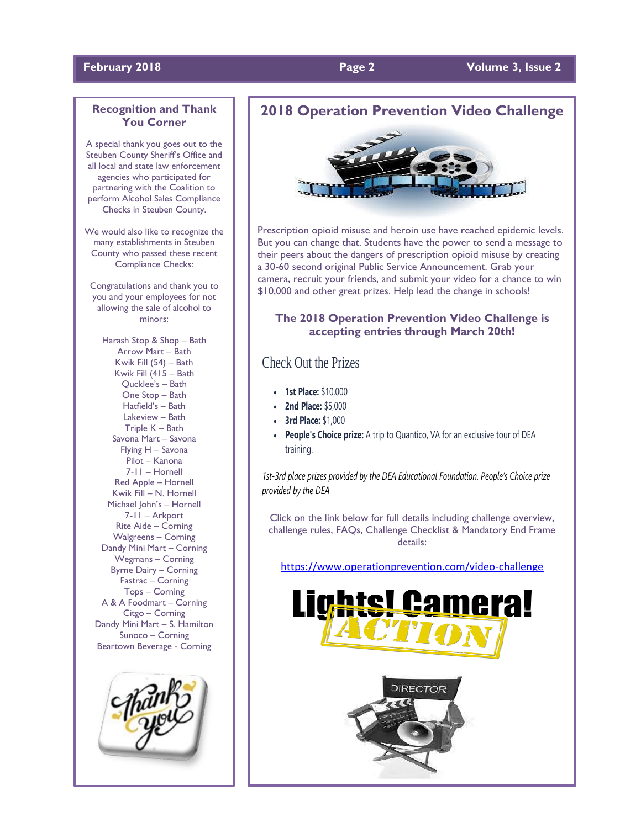# **February 2018 Page 2 Volume 3, Issue 2**

# **Recognition and Thank You Corner**

A special thank you goes out to the Steuben County Sheriff's Office and all local and state law enforcement agencies who participated for partnering with the Coalition to perform Alcohol Sales Compliance Checks in Steuben County.

We would also like to recognize the many establishments in Steuben County who passed these recent Compliance Checks:

Congratulations and thank you to you and your employees for not allowing the sale of alcohol to minors:

Harash Stop & Shop – Bath Arrow Mart – Bath Kwik Fill (54) – Bath Kwik Fill (415 – Bath Qucklee's – Bath One Stop – Bath Hatfield's – Bath Lakeview – Bath Triple K – Bath Savona Mart – Savona Flying H – Savona Pilot – Kanona 7-11 – Hornell Red Apple – Hornell Kwik Fill – N. Hornell Michael John's – Hornell 7-11 – Arkport Rite Aide – Corning Walgreens – Corning Dandy Mini Mart – Corning Wegmans – Corning Byrne Dairy – Corning Fastrac – Corning Tops – Corning A & A Foodmart – Corning Citgo – Corning Dandy Mini Mart – S. Hamilton Sunoco – Corning Beartown Beverage - Corning



# **2018 Operation Prevention Video Challenge**



Prescription opioid misuse and heroin use have reached epidemic levels. But you can change that. Students have the power to send a message to their peers about the dangers of prescription opioid misuse by creating a 30-60 second original Public Service Announcement. Grab your camera, recruit your friends, and submit your video for a chance to win \$10,000 and other great prizes. Help lead the change in schools!

# **The 2018 Operation Prevention Video Challenge is accepting entries through March 20th!**

# Check Out the Prizes

- **1st Place:** \$10,000
- **2nd Place:** \$5,000
- •**3rd Place:** \$1,000
- **People's Choice prize:** A trip to Quantico, VA for an exclusive tour of DEA training.

*1st-3rd place prizes provided by the DEA Educational Foundation. People's Choice prize provided by the DEA*

Click on the link below for full details including challenge overview, challenge rules, FAQs, Challenge Checklist & Mandatory End Frame details:

<https://www.operationprevention.com/video-challenge>

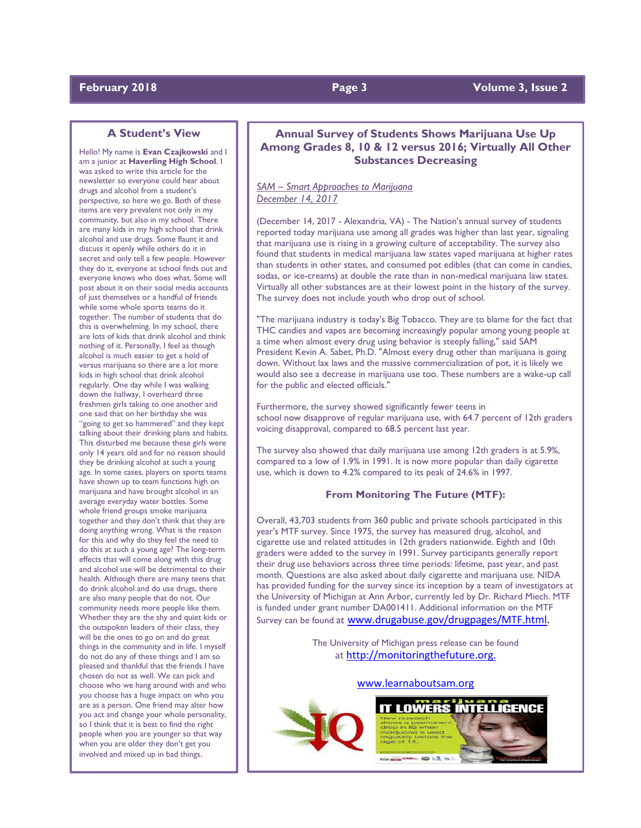# **A Student's View**

Hello! My name is **Evan Czajkowski** and I am a junior at **Haverling High School**. I was asked to write this article for the newsletter so everyone could hear about drugs and alcohol from a student's perspective, so here we go. Both of these items are very prevalent not only in my community, but also in my school. There are many kids in my high school that drink alcohol and use drugs. Some flaunt it and discuss it openly while others do it in secret and only tell a few people. However they do it, everyone at school finds out and everyone knows who does what. Some will post about it on their social media accounts of just themselves or a handful of friends while some whole sports teams do it together. The number of students that do this is overwhelming. In my school, there are lots of kids that drink alcohol and think nothing of it. Personally, I feel as though alcohol is much easier to get a hold of versus marijuana so there are a lot more kids in high school that drink alcohol regularly. One day while I was walking down the hallway, I overheard three freshmen girls taking to one another and one said that on her birthday she was "going to get so hammered" and they kept talking about their drinking plans and habits. This disturbed me because these girls were only 14 years old and for no reason should they be drinking alcohol at such a young age. In some cases, players on sports teams have shown up to team functions high on marijuana and have brought alcohol in an average everyday water bottles. Some whole friend groups smoke marijuana together and they don't think that they are doing anything wrong. What is the reason for this and why do they feel the need to do this at such a young age? The long-term effects that will come along with this drug and alcohol use will be detrimental to their health. Although there are many teens that do drink alcohol and do use drugs, there are also many people that do not. Our community needs more people like them. Whether they are the shy and quiet kids or the outspoken leaders of their class, they will be the ones to go on and do great things in the community and in life. I myself do not do any of these things and I am so pleased and thankful that the friends I have chosen do not as well. We can pick and choose who we hang around with and who you choose has a huge impact on who you are as a person. One friend may alter how you act and change your whole personality, so I think that it is best to find the right people when you are younger so that way when you are older they don't get you involved and mixed up in bad things.

# **Annual Survey of Students Shows Marijuana Use Up Among Grades 8, 10 & 12 versus 2016; Virtually All Other Substances Decreasing**

*SAM – Smart Approaches to Marijuana December 14, 2017*

(December 14, 2017 - Alexandria, VA) - The Nation's annual survey of students reported today marijuana use among all grades was higher than last year, signaling that marijuana use is rising in a growing culture of acceptability. The survey also found that students in medical marijuana law states vaped marijuana at higher rates than students in other states, and consumed pot edibles (that can come in candies, sodas, or ice-creams) at double the rate than in non-medical marijuana law states. Virtually all other substances are at their lowest point in the history of the survey. The survey does not include youth who drop out of school.

"The marijuana industry is today's Big Tobacco. They are to blame for the fact that THC candies and vapes are becoming increasingly popular among young people at a time when almost every drug using behavior is steeply falling," said SAM President Kevin A. Sabet, Ph.D. "Almost every drug other than marijuana is going down. Without lax laws and the massive commercialization of pot, it is likely we would also see a decrease in marijuana use too. These numbers are a wake-up call for the public and elected officials."

Furthermore, the survey showed significantly fewer teens in school now disapprove of regular marijuana use, with 64.7 percent of 12th graders voicing disapproval, compared to 68.5 percent last year.

The survey also showed that daily marijuana use among 12th graders is at 5.9%, compared to a low of 1.9% in 1991. It is now more popular than daily cigarette use, which is down to 4.2% compared to its peak of 24.6% in 1997.

# **From Monitoring The Future (MTF):**

Overall, 43,703 students from 360 public and private schools participated in this year's MTF survey. Since 1975, the survey has measured drug, alcohol, and cigarette use and related attitudes in 12th graders nationwide. Eighth and 10th graders were added to the survey in 1991. Survey participants generally report their drug use behaviors across three time periods: lifetime, past year, and past month. Questions are also asked about daily cigarette and marijuana use. NIDA has provided funding for the survey since its inception by a team of investigators at the University of Michigan at Ann Arbor, currently led by Dr. Richard Miech. MTF is funded under grant number DA001411. Additional information on the MTF Survey can be found at [www.drugabuse.gov/drugpages/MTF.html.](http://www.drugabuse.gov/drugpages/MTF.html)

> The University of Michigan press release can be found at [http://monitoringthefuture.org.](http://monitoringthefuture.org./)